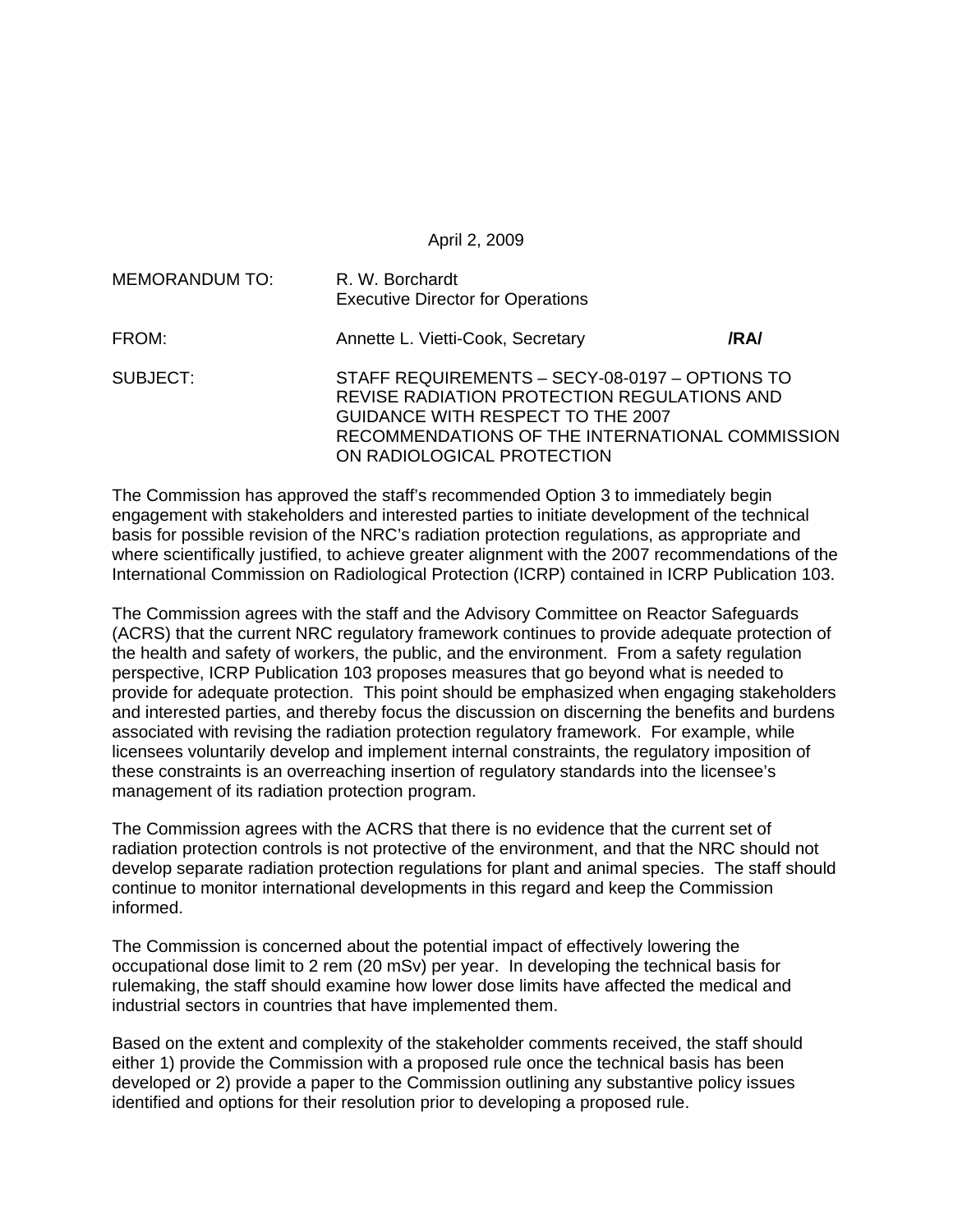April 2, 2009

| <b>MEMORANDUM TO:</b> | R. W. Borchardt<br><b>Executive Director for Operations</b>                                                                                                                                                         |      |
|-----------------------|---------------------------------------------------------------------------------------------------------------------------------------------------------------------------------------------------------------------|------|
| FROM:                 | Annette L. Vietti-Cook, Secretary                                                                                                                                                                                   | /RA/ |
| SUBJECT:              | STAFF REQUIREMENTS - SECY-08-0197 - OPTIONS TO<br>REVISE RADIATION PROTECTION REGULATIONS AND<br>GUIDANCE WITH RESPECT TO THE 2007<br>RECOMMENDATIONS OF THE INTERNATIONAL COMMISSION<br>ON RADIOLOGICAL PROTECTION |      |

The Commission has approved the staff's recommended Option 3 to immediately begin engagement with stakeholders and interested parties to initiate development of the technical basis for possible revision of the NRC's radiation protection regulations, as appropriate and where scientifically justified, to achieve greater alignment with the 2007 recommendations of the International Commission on Radiological Protection (ICRP) contained in ICRP Publication 103.

The Commission agrees with the staff and the Advisory Committee on Reactor Safeguards (ACRS) that the current NRC regulatory framework continues to provide adequate protection of the health and safety of workers, the public, and the environment. From a safety regulation perspective, ICRP Publication 103 proposes measures that go beyond what is needed to provide for adequate protection. This point should be emphasized when engaging stakeholders and interested parties, and thereby focus the discussion on discerning the benefits and burdens associated with revising the radiation protection regulatory framework. For example, while licensees voluntarily develop and implement internal constraints, the regulatory imposition of these constraints is an overreaching insertion of regulatory standards into the licensee's management of its radiation protection program.

The Commission agrees with the ACRS that there is no evidence that the current set of radiation protection controls is not protective of the environment, and that the NRC should not develop separate radiation protection regulations for plant and animal species. The staff should continue to monitor international developments in this regard and keep the Commission informed.

The Commission is concerned about the potential impact of effectively lowering the occupational dose limit to 2 rem (20 mSv) per year. In developing the technical basis for rulemaking, the staff should examine how lower dose limits have affected the medical and industrial sectors in countries that have implemented them.

Based on the extent and complexity of the stakeholder comments received, the staff should either 1) provide the Commission with a proposed rule once the technical basis has been developed or 2) provide a paper to the Commission outlining any substantive policy issues identified and options for their resolution prior to developing a proposed rule.